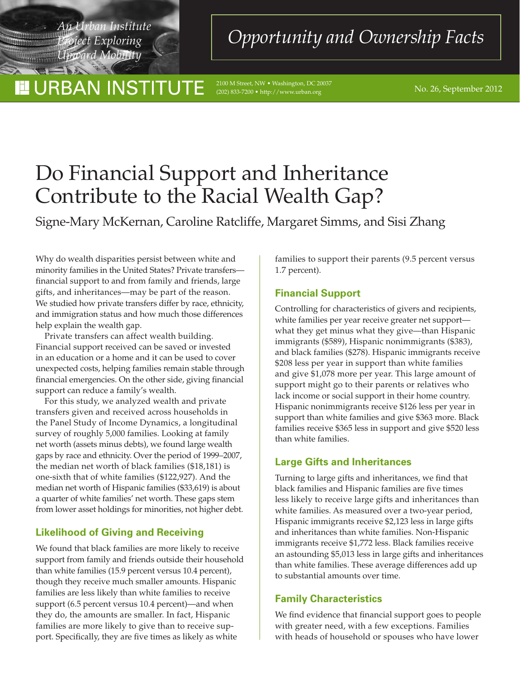*Project Exploring Upward Mobility*

<u> "Territorial"</u>

# **II URBAN INSTITUTE**

*Pan Institute An Institute An Institute An Institute An Upportunity and Ownership Facts* 

 $\frac{100 \text{ M Street, NW} \cdot \text{Washington, DC 20037}}{200 \times 250 \times 2700 \cdot \text{http://www.urban.org}}$ (202) 833-7200 • http://www.urban.org

# Do Financial Support and Inheritance Contribute to the Racial Wealth Gap?

Signe-Mary McKernan, Caroline Ratcliffe, Margaret Simms, and Sisi Zhang

Why do wealth disparities persist between white and minority families in the United States? Private transfers financial support to and from family and friends, large gifts, and inheritances—may be part of the reason. We studied how private transfers differ by race, ethnicity, and immigration status and how much those differences help explain the wealth gap.

Private transfers can affect wealth building. Financial support received can be saved or invested in an education or a home and it can be used to cover unexpected costs, helping families remain stable through financial emergencies. On the other side, giving financial support can reduce a family's wealth.

For this study, we analyzed wealth and private transfers given and received across households in the Panel Study of Income Dynamics, a longitudinal survey of roughly 5,000 families. Looking at family net worth (assets minus debts), we found large wealth gaps by race and ethnicity. Over the period of 1999–2007, the median net worth of black families (\$18,181) is one-sixth that of white families (\$122,927). And the median net worth of Hispanic families (\$33,619) is about a quarter of white families' net worth. These gaps stem from lower asset holdings for minorities, not higher debt.

# **Likelihood of Giving and Receiving**

We found that black families are more likely to receive support from family and friends outside their household than white families (15.9 percent versus 10.4 percent), though they receive much smaller amounts. Hispanic families are less likely than white families to receive support (6.5 percent versus 10.4 percent)—and when they do, the amounts are smaller. In fact, Hispanic families are more likely to give than to receive support. Specifically, they are five times as likely as white

families to support their parents (9.5 percent versus 1.7 percent).

# **Financial Support**

Controlling for characteristics of givers and recipients, white families per year receive greater net support what they get minus what they give—than Hispanic immigrants (\$589), Hispanic nonimmigrants (\$383), and black families (\$278). Hispanic immigrants receive \$208 less per year in support than white families and give \$1,078 more per year. This large amount of support might go to their parents or relatives who lack income or social support in their home country. Hispanic nonimmigrants receive \$126 less per year in support than white families and give \$363 more. Black families receive \$365 less in support and give \$520 less than white families.

#### **Large Gifts and Inheritances**

Turning to large gifts and inheritances, we find that black families and Hispanic families are five times less likely to receive large gifts and inheritances than white families. As measured over a two-year period, Hispanic immigrants receive \$2,123 less in large gifts and inheritances than white families. Non-Hispanic immigrants receive \$1,772 less. Black families receive an astounding \$5,013 less in large gifts and inheritances than white families. These average differences add up to substantial amounts over time.

# **Family Characteristics**

We find evidence that financial support goes to people with greater need, with a few exceptions. Families with heads of household or spouses who have lower